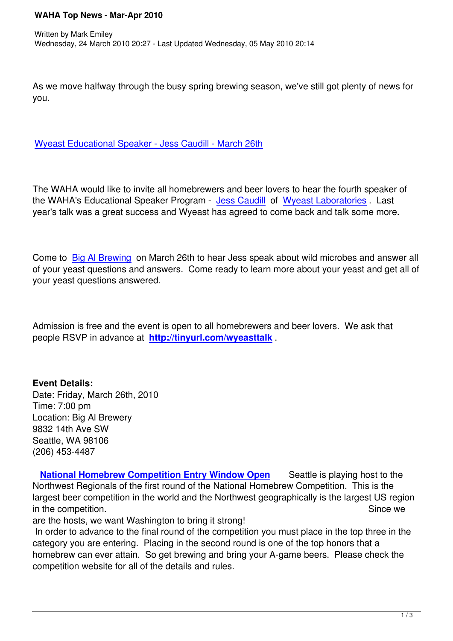As we move halfway through the busy spring brewing season, we've still got plenty of news for you.

Wyeast Educational Speaker - Jess Caudill - March 26th

[The WAHA would like to invite all homebrewers and beer](educational-speakers/273-educational-speaker-wyeast-march-26th-2010) lovers to hear the fourth speaker of the WAHA's Educational Speaker Program - Jess Caudill of Wyeast Laboratories . Last year's talk was a great success and Wyeast has agreed to come back and talk some more.

Come to Big Al Brewing on March 26th to hear Jess speak about wild microbes and answer all of your yeast questions and answers. Come ready to learn more about your yeast and get all of your yeast questions answered.

Admission is free and the event is open to all homebrewers and beer lovers. We ask that people RSVP in advance at **http://tinyurl.com/wyeasttalk** .

## **Event Details:**

Date: Friday, March 26th, 2010 Time: 7:00 pm Location: Big Al Brewery 9832 14th Ave SW Seattle, WA 98106 (206) 453-4487

 **National Homebrew Competition Entry Window Open** Seattle is playing host to the Northwest Regionals of the first round of the National Homebrew Competition. This is the largest beer competition in the world and the Northwest geographically is the largest US region in the competition. Since we say that the competition.

are the hosts, we want Washington to bring it strong!

 In order to advance to the final round of the competition you must place in the top three in the category you are entering. Placing in the second round is one of the top honors that a homebrew can ever attain. So get brewing and bring your A-game beers. Please check the competition website for all of the details and rules.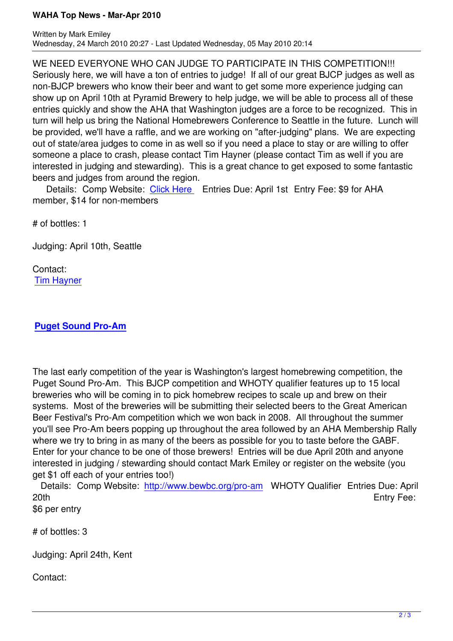Written by Mark Emiley, and the Mark Emiley, the Mark Emiley, and the Mark Emile Wednesday, 24 March 2010 20:27 - Last Updated Wednesday, 05 May 2010 20:14

WE NEED EVERYONE WHO CAN JUDGE TO PARTICIPATE IN THIS COMPETITION!!! Seriously here, we will have a ton of entries to judge! If all of our great BJCP judges as well as non-BJCP brewers who know their beer and want to get some more experience judging can show up on April 10th at Pyramid Brewery to help judge, we will be able to process all of these entries quickly and show the AHA that Washington judges are a force to be recognized. This in turn will help us bring the National Homebrewers Conference to Seattle in the future. Lunch will be provided, we'll have a raffle, and we are working on "after-judging" plans. We are expecting out of state/area judges to come in as well so if you need a place to stay or are willing to offer someone a place to crash, please contact Tim Hayner (please contact Tim as well if you are interested in judging and stewarding). This is a great chance to get exposed to some fantastic beers and judges from around the region.

Details: Comp Website: Click Here Entries Due: April 1st Entry Fee: \$9 for AHA member, \$14 for non-members

# of bottles: 1

Judging: April 10th, Seattle

Contact: Tim Hayner

## **[Puget Soun](waha-officers/43/43-tim-hayner)d Pro-Am**

[The last early competiti](http://www.bewbc.org/pro-am)on of the year is Washington's largest homebrewing competition, the Puget Sound Pro-Am. This BJCP competition and WHOTY qualifier features up to 15 local breweries who will be coming in to pick homebrew recipes to scale up and brew on their systems. Most of the breweries will be submitting their selected beers to the Great American Beer Festival's Pro-Am competition which we won back in 2008. All throughout the summer you'll see Pro-Am beers popping up throughout the area followed by an AHA Membership Rally where we try to bring in as many of the beers as possible for you to taste before the GABF. Enter for your chance to be one of those brewers! Entries will be due April 20th and anyone interested in judging / stewarding should contact Mark Emiley or register on the website (you get \$1 off each of your entries too!)

 Details: Comp Website: http://www.bewbc.org/pro-am WHOTY Qualifier Entries Due: April 20th Entry Fee:

\$6 per entry

# of bottles: 3

Judging: April 24th, Kent

Contact: